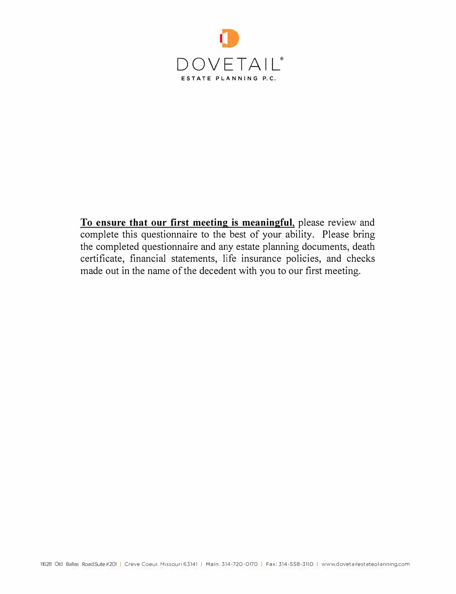

**To ensure that our first meeting is meaningful,** please review and complete this questionnaire to the best of your ability. Please bring the completed questionnaire and any estate planning documents, death certificate, financial statements, life insurance policies, and checks made out in the name of the decedent with you to our first meeting.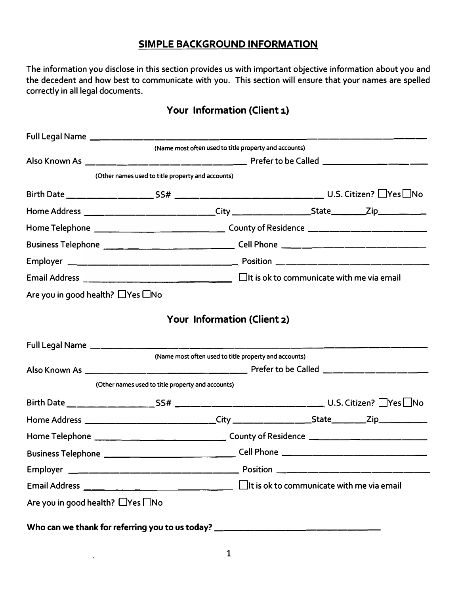#### **SIMPLE BACKGROUND INFORMATION**

**The information you disclose in this section provides us with important objective information about you and the decedent and how best to communicate with you. This section will ensure that your names are spelled correctly in all legal documents.** 

## **Your Information (Client 1)**

| Full Legal Name ___________________________________                                                  |                                                       |                                                       |  |  |  |
|------------------------------------------------------------------------------------------------------|-------------------------------------------------------|-------------------------------------------------------|--|--|--|
|                                                                                                      |                                                       | (Name most often used to title property and accounts) |  |  |  |
|                                                                                                      |                                                       |                                                       |  |  |  |
|                                                                                                      | (Other names used to title property and accounts)     |                                                       |  |  |  |
|                                                                                                      |                                                       |                                                       |  |  |  |
| Home Address _________________________City ______________________State_________Zip__________________ |                                                       |                                                       |  |  |  |
|                                                                                                      |                                                       |                                                       |  |  |  |
|                                                                                                      |                                                       |                                                       |  |  |  |
|                                                                                                      |                                                       |                                                       |  |  |  |
|                                                                                                      |                                                       |                                                       |  |  |  |
| Are you in good health? $\Box$ Yes $\Box$ No                                                         |                                                       |                                                       |  |  |  |
|                                                                                                      |                                                       | Your Information (Client 2)                           |  |  |  |
|                                                                                                      |                                                       |                                                       |  |  |  |
| Full Legal Name ___________________________________                                                  |                                                       |                                                       |  |  |  |
|                                                                                                      | (Name most often used to title property and accounts) |                                                       |  |  |  |
|                                                                                                      | (Other names used to title property and accounts)     |                                                       |  |  |  |
|                                                                                                      |                                                       |                                                       |  |  |  |
|                                                                                                      |                                                       |                                                       |  |  |  |
| Home Address __________________________City ___________________State________Zip_____________________ |                                                       |                                                       |  |  |  |
|                                                                                                      |                                                       |                                                       |  |  |  |
|                                                                                                      |                                                       |                                                       |  |  |  |
|                                                                                                      |                                                       |                                                       |  |  |  |
|                                                                                                      |                                                       |                                                       |  |  |  |
| Are you in good health? □Yes □No                                                                     |                                                       |                                                       |  |  |  |
| Who can we thank for referring you to us today? ________________________________                     |                                                       |                                                       |  |  |  |

 $\ddot{\phantom{1}}$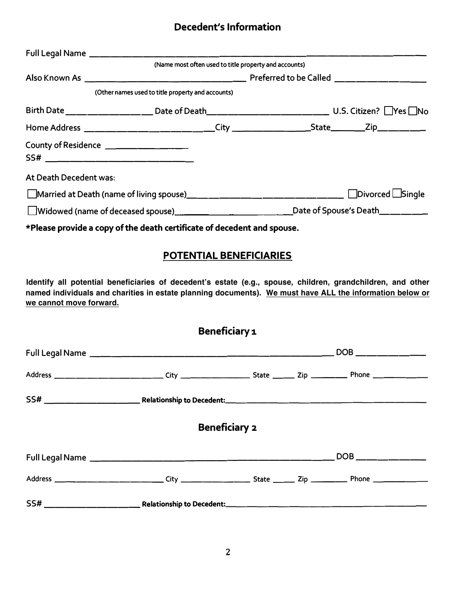## **Decedent's Information**

|                                         | Full Legal Name _________________________________                       |  |
|-----------------------------------------|-------------------------------------------------------------------------|--|
|                                         | (Name most often used to title property and accounts)                   |  |
|                                         |                                                                         |  |
|                                         | (Other names used to title property and accounts)                       |  |
|                                         |                                                                         |  |
|                                         |                                                                         |  |
| County of Residence ___________________ |                                                                         |  |
| At Death Decedent was:                  |                                                                         |  |
|                                         |                                                                         |  |
|                                         |                                                                         |  |
|                                         | *Please provide a copy of the death certificate of decedent and spouse. |  |
|                                         | <b>POTENTIAL BENEFICIARIES</b>                                          |  |

**Identify all potential beneficiaries of decedent's estate (e.g., spouse, children, grandchildren, and other named individuals and charities in estate planning documents). We must have ALL the information below or we cannot move forward.** 

| Beneficiary 1        |                                                                                                                |  |  |  |  |
|----------------------|----------------------------------------------------------------------------------------------------------------|--|--|--|--|
|                      |                                                                                                                |  |  |  |  |
|                      | Address _________________________City ____________________State __________Zip _____________Phone _____________ |  |  |  |  |
|                      |                                                                                                                |  |  |  |  |
| <b>Beneficiary 2</b> |                                                                                                                |  |  |  |  |
|                      |                                                                                                                |  |  |  |  |
|                      |                                                                                                                |  |  |  |  |
|                      |                                                                                                                |  |  |  |  |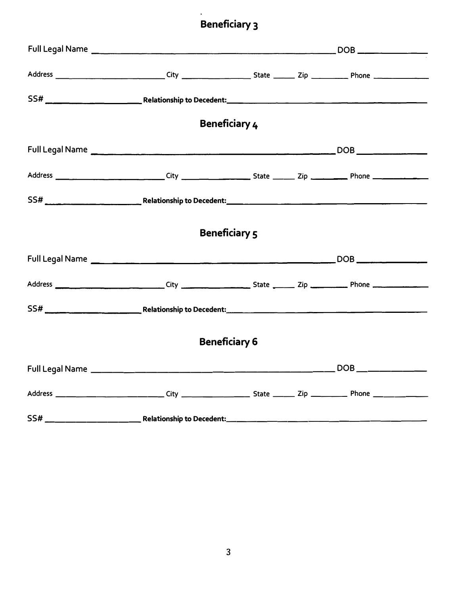# **Beneficiary 3**

|                      |  | <b>Beneficiary 4</b> |  |  |  |
|----------------------|--|----------------------|--|--|--|
|                      |  |                      |  |  |  |
|                      |  |                      |  |  |  |
|                      |  |                      |  |  |  |
| <b>Beneficiary 5</b> |  |                      |  |  |  |
|                      |  |                      |  |  |  |
|                      |  |                      |  |  |  |
|                      |  |                      |  |  |  |
| <b>Beneficiary 6</b> |  |                      |  |  |  |
|                      |  |                      |  |  |  |
|                      |  |                      |  |  |  |
|                      |  |                      |  |  |  |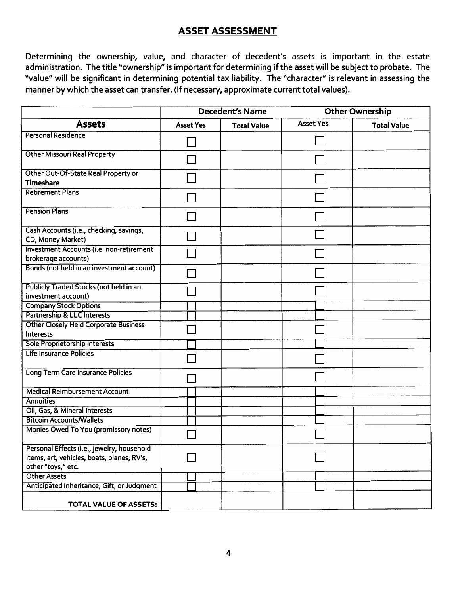### **ASSET ASSESSMENT**

**Determining the ownership, value, and character of decedent's assets is important in the estate administration. The title "ownership" is important for determining if the asset will be subject to probate. The "value" will be significant in determining potential tax liability. The "character'' is relevant in assessing the manner by which the asset can transfer. (If necessary, approximate current total values).** 

|                                                                                                                | <b>Decedent's Name</b> |                    | <b>Other Ownership</b> |                    |  |
|----------------------------------------------------------------------------------------------------------------|------------------------|--------------------|------------------------|--------------------|--|
| <b>Assets</b>                                                                                                  | <b>Asset Yes</b>       | <b>Total Value</b> | <b>Asset Yes</b>       | <b>Total Value</b> |  |
| Personal Residence                                                                                             |                        |                    |                        |                    |  |
| <b>Other Missouri Real Property</b>                                                                            |                        |                    |                        |                    |  |
| Other Out-Of-State Real Property or<br><b>Timeshare</b>                                                        |                        |                    |                        |                    |  |
| <b>Retirement Plans</b>                                                                                        |                        |                    |                        |                    |  |
| <b>Pension Plans</b>                                                                                           |                        |                    |                        |                    |  |
| Cash Accounts (i.e., checking, savings,<br>CD, Money Market)                                                   |                        |                    |                        |                    |  |
| <b>Investment Accounts (i.e. non-retirement</b><br>brokerage accounts)                                         |                        |                    |                        |                    |  |
| Bonds (not held in an investment account)                                                                      |                        |                    |                        |                    |  |
| <b>Publicly Traded Stocks (not held in an</b><br>investment account)                                           |                        |                    |                        |                    |  |
| <b>Company Stock Options</b>                                                                                   |                        |                    |                        |                    |  |
| <b>Partnership &amp; LLC Interests</b>                                                                         |                        |                    |                        |                    |  |
| <b>Other Closely Held Corporate Business</b><br><b>Interests</b>                                               |                        |                    |                        |                    |  |
| <b>Sole Proprietorship Interests</b>                                                                           |                        |                    |                        |                    |  |
| Life Insurance Policies                                                                                        |                        |                    |                        |                    |  |
| Long Term Care Insurance Policies                                                                              |                        |                    |                        |                    |  |
| <b>Medical Reimbursement Account</b>                                                                           |                        |                    |                        |                    |  |
| <b>Annuities</b>                                                                                               |                        |                    |                        |                    |  |
| Oil, Gas, & Mineral Interests                                                                                  |                        |                    |                        |                    |  |
| <b>Bitcoin Accounts/Wallets</b>                                                                                |                        |                    |                        |                    |  |
| Monies Owed To You (promissory notes)                                                                          |                        |                    |                        |                    |  |
| Personal Effects (i.e., jewelry, household<br>items, art, vehicles, boats, planes, RV's,<br>other "toys," etc. |                        |                    |                        |                    |  |
| <b>Other Assets</b>                                                                                            |                        |                    |                        |                    |  |
| Anticipated Inheritance, Gift, or Judgment                                                                     |                        |                    |                        |                    |  |
| <b>TOTAL VALUE OF ASSETS:</b>                                                                                  |                        |                    |                        |                    |  |